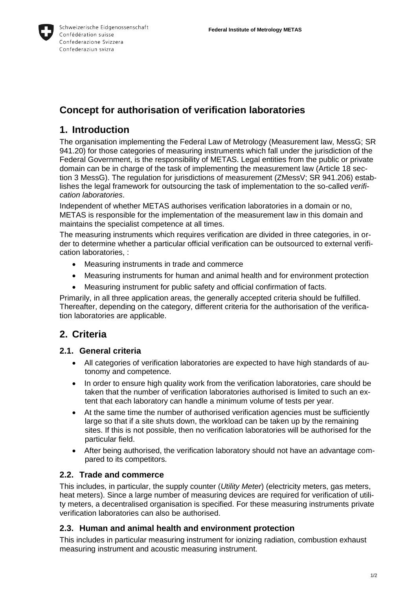

# **Concept for authorisation of verification laboratories**

## **1. Introduction**

The organisation implementing the Federal Law of Metrology (Measurement law, MessG; SR 941.20) for those categories of measuring instruments which fall under the jurisdiction of the Federal Government, is the responsibility of METAS. Legal entities from the public or private domain can be in charge of the task of implementing the measurement law (Article 18 section 3 MessG). The regulation for jurisdictions of measurement (ZMessV; SR 941.206) establishes the legal framework for outsourcing the task of implementation to the so-called *verification laboratories*.

Independent of whether METAS authorises verification laboratories in a domain or no, METAS is responsible for the implementation of the measurement law in this domain and maintains the specialist competence at all times.

The measuring instruments which requires verification are divided in three categories, in order to determine whether a particular official verification can be outsourced to external verification laboratories, :

- Measuring instruments in trade and commerce
- Measuring instruments for human and animal health and for environment protection
- Measuring instrument for public safety and official confirmation of facts.

Primarily, in all three application areas, the generally accepted criteria should be fulfilled. Thereafter, depending on the category, different criteria for the authorisation of the verification laboratories are applicable.

## **2. Criteria**

#### **2.1. General criteria**

- All categories of verification laboratories are expected to have high standards of autonomy and competence.
- In order to ensure high quality work from the verification laboratories, care should be taken that the number of verification laboratories authorised is limited to such an extent that each laboratory can handle a minimum volume of tests per year.
- At the same time the number of authorised verification agencies must be sufficiently large so that if a site shuts down, the workload can be taken up by the remaining sites. If this is not possible, then no verification laboratories will be authorised for the particular field.
- After being authorised, the verification laboratory should not have an advantage compared to its competitors.

### **2.2. Trade and commerce**

This includes, in particular, the supply counter (*Utility Meter*) (electricity meters, gas meters, heat meters). Since a large number of measuring devices are required for verification of utility meters, a decentralised organisation is specified. For these measuring instruments private verification laboratories can also be authorised.

#### **2.3. Human and animal health and environment protection**

This includes in particular measuring instrument for ionizing radiation, combustion exhaust measuring instrument and acoustic measuring instrument.